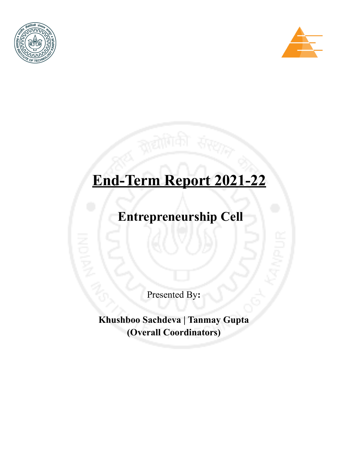



# **End-Term Report 2021-22**

**Entrepreneurship Cell**

Presented By**:**

**Khushboo Sachdeva | Tanmay Gupta (Overall Coordinators)**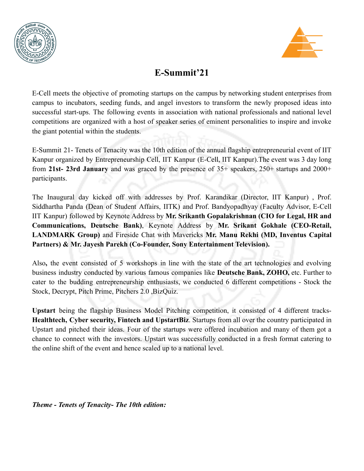



# **E-Summit'21**

E-Cell meets the objective of promoting startups on the campus by networking student enterprises from campus to incubators, seeding funds, and angel investors to transform the newly proposed ideas into successful start-ups. The following events in association with national professionals and national level competitions are organized with a host of speaker series of eminent personalities to inspire and invoke the giant potential within the students.

E-Summit 21- Tenets of Tenacity was the 10th edition of the annual flagship entrepreneurial event of IIT Kanpur organized by Entrepreneurship Cell, IIT Kanpur (E-Cell, IIT Kanpur).The event was 3 day long from **21st- 23rd January** and was graced by the presence of 35+ speakers, 250+ startups and 2000+ participants.

The Inaugural day kicked off with addresses by Prof. Karandikar (Director, IIT Kanpur) , Prof. Siddhartha Panda (Dean of Student Affairs, IITK) and Prof. Bandyopadhyay (Faculty Advisor, E-Cell IIT Kanpur) followed by Keynote Address by **Mr. Srikanth Gopalakrishnan (CIO for Legal, HR and Communications, Deutsche Bank)**, Keynote Address by **Mr. Srikant Gokhale (CEO-Retail, LANDMARK Group)** and Fireside Chat with Mavericks **Mr. Manu Rekhi (MD, Inventus Capital Partners) & Mr. Jayesh Parekh (Co-Founder, Sony Entertainment Television).**

Also**,** the event consisted of 5 workshops in line with the state of the art technologies and evolving business industry conducted by various famous companies like **Deutsche Bank, ZOHO,** etc. Further to cater to the budding entrepreneurship enthusiasts, we conducted 6 different competitions - Stock the Stock, Decrypt, Pitch Prime, Pitchers 2.0 ,BizQuiz.

**Upstart** being the flagship Business Model Pitching competition, it consisted of 4 different tracks-**Healthtech, Cyber security, Fintech and UpstartBiz**. Startups from all over the country participated in Upstart and pitched their ideas. Four of the startups were offered incubation and many of them got a chance to connect with the investors. Upstart was successfully conducted in a fresh format catering to the online shift of the event and hence scaled up to a national level.

*Theme - Tenets of Tenacity- The 10th edition:*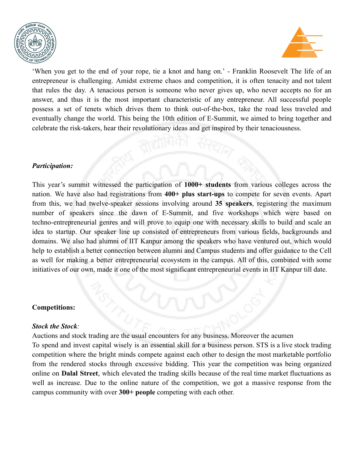



'When you get to the end of your rope, tie a knot and hang on.' - Franklin Roosevelt The life of an entrepreneur is challenging. Amidst extreme chaos and competition, it is often tenacity and not talent that rules the day. A tenacious person is someone who never gives up, who never accepts no for an answer, and thus it is the most important characteristic of any entrepreneur. All successful people possess a set of tenets which drives them to think out-of-the-box, take the road less traveled and eventually change the world. This being the 10th edition of E-Summit, we aimed to bring together and celebrate the risk-takers, hear their revolutionary ideas and get inspired by their tenaciousness.

#### *Participation:*

This year's summit witnessed the participation of **1000+ students** from various colleges across the nation. We have also had registrations from **400+ plus start-ups** to compete for seven events. Apart from this, we had twelve-speaker sessions involving around **35 speakers**, registering the maximum number of speakers since the dawn of E-Summit, and five workshops which were based on techno-entrepreneurial genres and will prove to equip one with necessary skills to build and scale an idea to startup. Our speaker line up consisted of entrepreneurs from various fields, backgrounds and domains. We also had alumni of IIT Kanpur among the speakers who have ventured out, which would help to establish a better connection between alumni and Campus students and offer guidance to the Cell as well for making a better entrepreneurial ecosystem in the campus. All of this, combined with some initiatives of our own, made it one of the most significant entrepreneurial events in IIT Kanpur till date.

#### **Competitions:**

#### *Stock the Stock:*

Auctions and stock trading are the usual encounters for any business. Moreover the acumen To spend and invest capital wisely is an essential skill for a business person. STS is a live stock trading competition where the bright minds compete against each other to design the most marketable portfolio from the rendered stocks through excessive bidding. This year the competition was being organized online on **Dalal Street**, which elevated the trading skills because of the real time market fluctuations as well as increase. Due to the online nature of the competition, we got a massive response from the campus community with over **300+ people** competing with each other.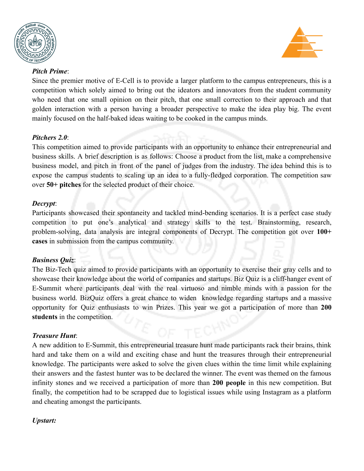



#### *Pitch Prime*:

Since the premier motive of E-Cell is to provide a larger platform to the campus entrepreneurs, this is a competition which solely aimed to bring out the ideators and innovators from the student community who need that one small opinion on their pitch, that one small correction to their approach and that golden interaction with a person having a broader perspective to make the idea play big. The event mainly focused on the half-baked ideas waiting to be cooked in the campus minds.

#### *Pitchers 2.0*:

This competition aimed to provide participants with an opportunity to enhance their entrepreneurial and business skills. A brief description is as follows: Choose a product from the list, make a comprehensive business model, and pitch in front of the panel of judges from the industry. The idea behind this is to expose the campus students to scaling up an idea to a fully-fledged corporation. The competition saw over **50+ pitches** for the selected product of their choice.

## *Decrypt*:

Participants showcased their spontaneity and tackled mind-bending scenarios. It is a perfect case study competition to put one's analytical and strategy skills to the test. Brainstorming, research, problem-solving, data analysis are integral components of Decrypt. The competition got over **100+ cases** in submission from the campus community.

# *Business Quiz*:

The Biz-Tech quiz aimed to provide participants with an opportunity to exercise their gray cells and to showcase their knowledge about the world of companies and startups. Biz Quiz is a cliff-hanger event of E-Summit where participants deal with the real virtuoso and nimble minds with a passion for the business world. BizQuiz offers a great chance to widen knowledge regarding startups and a massive opportunity for Quiz enthusiasts to win Prizes. This year we got a participation of more than **200 students** in the competition.

#### *Treasure Hunt*:

A new addition to E-Summit, this entrepreneurial treasure hunt made participants rack their brains, think hard and take them on a wild and exciting chase and hunt the treasures through their entrepreneurial knowledge. The participants were asked to solve the given clues within the time limit while explaining their answers and the fastest hunter was to be declared the winner. The event was themed on the famous infinity stones and we received a participation of more than **200 people** in this new competition. But finally, the competition had to be scrapped due to logistical issues while using Instagram as a platform and cheating amongst the participants.

# *Upstart:*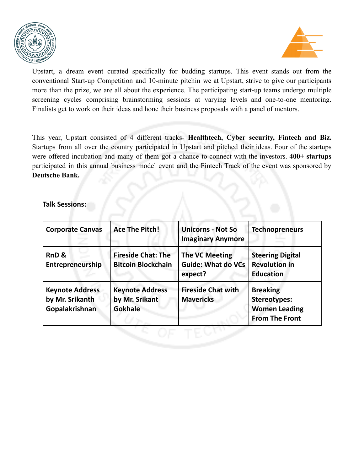



Upstart, a dream event curated specifically for budding startups. This event stands out from the conventional Start-up Competition and 10-minute pitchin we at Upstart, strive to give our participants more than the prize, we are all about the experience. The participating start-up teams undergo multiple screening cycles comprising brainstorming sessions at varying levels and one-to-one mentoring. Finalists get to work on their ideas and hone their business proposals with a panel of mentors.

This year, Upstart consisted of 4 different tracks- **Healthtech, Cyber security, Fintech and Biz.** Startups from all over the country participated in Upstart and pitched their ideas. Four of the startups were offered incubation and many of them got a chance to connect with the investors. **400+ startups** participated in this annual business model event and the Fintech Track of the event was sponsored by **Deutsche Bank.**

**Talk Sessions:**

| <b>Corporate Canvas</b>                                     | <b>Ace The Pitch!</b>                                      | <b>Unicorns - Not So</b><br><b>Imaginary Anymore</b>   | <b>Technopreneurs</b>                                                                   |
|-------------------------------------------------------------|------------------------------------------------------------|--------------------------------------------------------|-----------------------------------------------------------------------------------------|
| RnD <sub>&amp;</sub><br>Entrepreneurship                    | <b>Fireside Chat: The</b><br><b>Bitcoin Blockchain</b>     | The VC Meeting<br><b>Guide: What do VCs</b><br>expect? | <b>Steering Digital</b><br><b>Revolution in</b><br><b>Education</b>                     |
| <b>Keynote Address</b><br>by Mr. Srikanth<br>Gopalakrishnan | <b>Keynote Address</b><br>by Mr. Srikant<br><b>Gokhale</b> | <b>Fireside Chat with</b><br><b>Mavericks</b>          | <b>Breaking</b><br><b>Stereotypes:</b><br><b>Women Leading</b><br><b>From The Front</b> |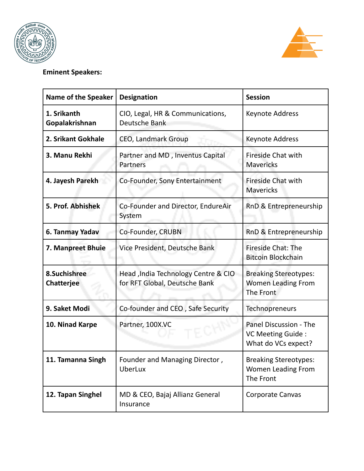



# **Eminent Speakers:**

| <b>Name of the Speaker</b>        | <b>Designation</b>                                                   | <b>Session</b>                                                         |
|-----------------------------------|----------------------------------------------------------------------|------------------------------------------------------------------------|
| 1. Srikanth<br>Gopalakrishnan     | CIO, Legal, HR & Communications,<br>Deutsche Bank                    | Keynote Address                                                        |
| 2. Srikant Gokhale                | CEO, Landmark Group                                                  | Keynote Address                                                        |
| 3. Manu Rekhi                     | Partner and MD, Inventus Capital<br>Partners                         | <b>Fireside Chat with</b><br><b>Mavericks</b>                          |
| 4. Jayesh Parekh                  | Co-Founder, Sony Entertainment                                       | Fireside Chat with<br><b>Mavericks</b>                                 |
| 5. Prof. Abhishek                 | Co-Founder and Director, EndureAir<br>System                         | RnD & Entrepreneurship                                                 |
| 6. Tanmay Yadav                   | Co-Founder, CRUBN                                                    | RnD & Entrepreneurship                                                 |
| 7. Manpreet Bhuie                 | Vice President, Deutsche Bank                                        | Fireside Chat: The<br><b>Bitcoin Blockchain</b>                        |
| 8.Suchishree<br><b>Chatterjee</b> | Head, India Technology Centre & CIO<br>for RFT Global, Deutsche Bank | <b>Breaking Stereotypes:</b><br>Women Leading From<br>The Front        |
| 9. Saket Modi                     | Co-founder and CEO, Safe Security                                    | Technopreneurs                                                         |
| 10. Ninad Karpe                   | Partner, 100X.VC                                                     | Panel Discussion - The<br>VC Meeting Guide:<br>What do VCs expect?     |
| 11. Tamanna Singh                 | Founder and Managing Director,<br><b>UberLux</b>                     | <b>Breaking Stereotypes:</b><br><b>Women Leading From</b><br>The Front |
| 12. Tapan Singhel                 | MD & CEO, Bajaj Allianz General<br>Insurance                         | Corporate Canvas                                                       |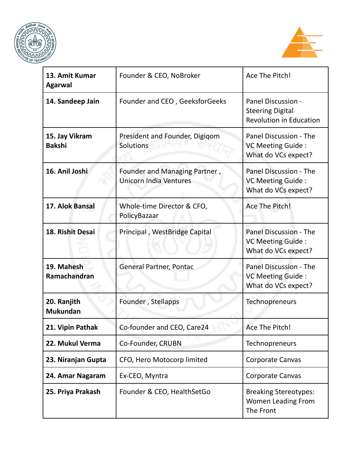



| 13. Amit Kumar<br><b>Agarwal</b> | Founder & CEO, NoBroker                                        | Ace The Pitch!                                                                  |
|----------------------------------|----------------------------------------------------------------|---------------------------------------------------------------------------------|
| 14. Sandeep Jain                 | Founder and CEO, GeeksforGeeks                                 | Panel Discussion -<br><b>Steering Digital</b><br><b>Revolution in Education</b> |
| 15. Jay Vikram<br><b>Bakshi</b>  | President and Founder, Digigom<br>Solutions                    | Panel Discussion - The<br>VC Meeting Guide:<br>What do VCs expect?              |
| 16. Anil Joshi                   | Founder and Managing Partner,<br><b>Unicorn India Ventures</b> | Panel Discussion - The<br>VC Meeting Guide:<br>What do VCs expect?              |
| 17. Alok Bansal                  | Whole-time Director & CFO,<br>PolicyBazaar                     | Ace The Pitch!                                                                  |
| 18. Rishit Desai                 | Principal, WestBridge Capital                                  | Panel Discussion - The<br>VC Meeting Guide:<br>What do VCs expect?              |
| 19. Mahesh<br>Ramachandran       | General Partner, Pontac                                        | Panel Discussion - The<br>VC Meeting Guide:<br>What do VCs expect?              |
| 20. Ranjith<br><b>Mukundan</b>   | Founder, Stellapps                                             | Technopreneurs                                                                  |
| 21. Vipin Pathak                 | Co-founder and CEO, Care24                                     | Ace The Pitch!                                                                  |
| 22. Mukul Verma                  | Co-Founder, CRUBN                                              | Technopreneurs                                                                  |
| 23. Niranjan Gupta               | CFO, Hero Motocorp limited                                     | Corporate Canvas                                                                |
| 24. Amar Nagaram                 | Ex-CEO, Myntra                                                 | <b>Corporate Canvas</b>                                                         |
| 25. Priya Prakash                | Founder & CEO, HealthSetGo                                     | <b>Breaking Stereotypes:</b><br><b>Women Leading From</b><br>The Front          |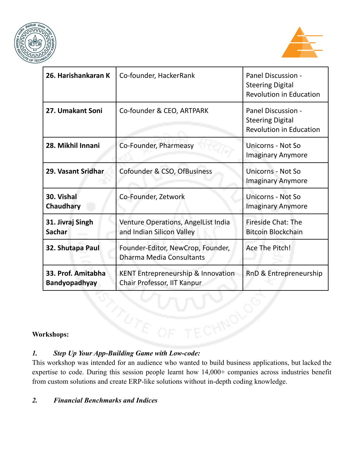



| 26. Harishankaran K                        | Co-founder, HackerRank                                                       | Panel Discussion -<br><b>Steering Digital</b><br><b>Revolution in Education</b> |
|--------------------------------------------|------------------------------------------------------------------------------|---------------------------------------------------------------------------------|
| 27. Umakant Soni                           | Co-founder & CEO, ARTPARK                                                    | Panel Discussion -<br><b>Steering Digital</b><br><b>Revolution in Education</b> |
| 28. Mikhil Innani                          | Co-Founder, Pharmeasy                                                        | Unicorns - Not So<br><b>Imaginary Anymore</b>                                   |
| 29. Vasant Sridhar                         | Cofounder & CSO, OfBusiness                                                  | <b>Unicorns - Not So</b><br><b>Imaginary Anymore</b>                            |
| 30. Vishal<br>Chaudhary                    | Co-Founder, Zetwork                                                          | Unicorns - Not So<br><b>Imaginary Anymore</b>                                   |
| 31. Jivraj Singh<br><b>Sachar</b>          | Venture Operations, AngelList India<br>and Indian Silicon Valley             | <b>Fireside Chat: The</b><br><b>Bitcoin Blockchain</b>                          |
| 32. Shutapa Paul                           | Founder-Editor, NewCrop, Founder,<br><b>Dharma Media Consultants</b>         | Ace The Pitch!                                                                  |
| 33. Prof. Amitabha<br><b>Bandyopadhyay</b> | <b>KENT Entrepreneurship &amp; Innovation</b><br>Chair Professor, IIT Kanpur | RnD & Entrepreneurship                                                          |

## **Workshops:**

# *1. Step Up Your App-Building Game with Low-code:*

This workshop was intended for an audience who wanted to build business applications, but lacked the expertise to code. During this session people learnt how 14,000+ companies across industries benefit from custom solutions and create ERP-like solutions without in-depth coding knowledge.

#### *2. Financial Benchmarks and Indices*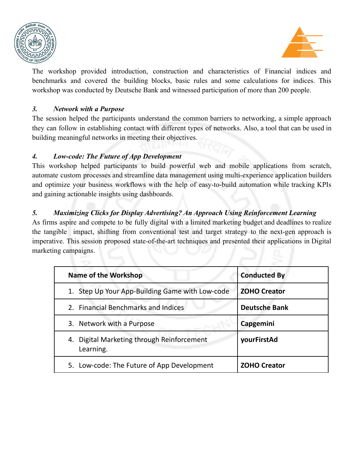



The workshop provided introduction, construction and characteristics of Financial indices and benchmarks and covered the building blocks, basic rules and some calculations for indices. This workshop was conducted by Deutsche Bank and witnessed participation of more than 200 people.

#### *3. Network with a Purpose*

The session helped the participants understand the common barriers to networking, a simple approach they can follow in establishing contact with different types of networks. Also, a tool that can be used in building meaningful networks in meeting their objectives.

#### *4. Low-code: The Future of App Development*

This workshop helped participants to build powerful web and mobile applications from scratch, automate custom processes and streamline data management using multi-experience application builders and optimize your business workflows with the help of easy-to-build automation while tracking KPIs and gaining actionable insights using dashboards.

# *5. Maximizing Clicks for Display Advertising? An Approach Using Reinforcement Learning*

As firms aspire and compete to be fully digital with a limited marketing budget and deadlines to realize the tangible impact, shifting from conventional test and target strategy to the next-gen approach is imperative. This session proposed state-of-the-art techniques and presented their applications in Digital marketing campaigns.

| <b>Name of the Workshop</b>                             | <b>Conducted By</b>  |
|---------------------------------------------------------|----------------------|
| 1. Step Up Your App-Building Game with Low-code         | <b>ZOHO Creator</b>  |
| 2. Financial Benchmarks and Indices                     | <b>Deutsche Bank</b> |
| 3. Network with a Purpose                               | Capgemini            |
| 4. Digital Marketing through Reinforcement<br>Learning. | yourFirstAd          |
| 5. Low-code: The Future of App Development              | <b>ZOHO Creator</b>  |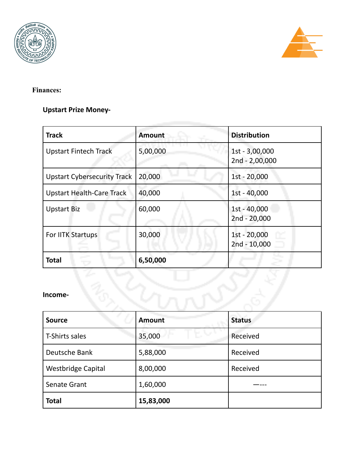



# **Finances:**

# **Upstart Prize Money-**

| <b>Track</b>                       | <b>Amount</b> | <b>Distribution</b>              |
|------------------------------------|---------------|----------------------------------|
| <b>Upstart Fintech Track</b>       | 5,00,000      | 1st - 3,00,000<br>2nd - 2,00,000 |
| <b>Upstart Cybersecurity Track</b> | 20,000        | 1st - 20,000                     |
| <b>Upstart Health-Care Track</b>   | 40,000        | 1st - 40,000                     |
| <b>Upstart Biz</b>                 | 60,000        | 1st - 40,000<br>2nd - 20,000     |
| For IITK Startups                  | 30,000        | 1st - 20,000<br>2nd - 10,000     |
| <b>Total</b>                       | 6,50,000      |                                  |

#### **Income-**

| <b>Source</b>             | <b>Amount</b> | <b>Status</b> |
|---------------------------|---------------|---------------|
| T-Shirts sales            | 35,000        | Received      |
| Deutsche Bank             | 5,88,000      | Received      |
| <b>Westbridge Capital</b> | 8,00,000      | Received      |
| Senate Grant              | 1,60,000      |               |
| <b>Total</b>              | 15,83,000     |               |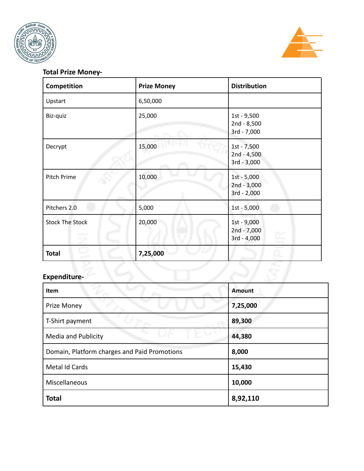



## **Total Prize Money-**

| Competition            | <b>Prize Money</b> | <b>Distribution</b>                                   |
|------------------------|--------------------|-------------------------------------------------------|
| Upstart                | 6,50,000           |                                                       |
| Biz-quiz               | 25,000             | 1st - 9,500<br>2nd - 8,500<br>3rd - 7,000             |
| Decrypt                | 15,000             | 1st - 7,500<br>$2nd - 4,500$<br>3rd - 3,000           |
| Pitch Prime            | 10,000             | 1st - 5,000<br>2nd - 3,000<br>3rd - 2,000             |
| Pitchers 2.0           | 5,000              | 1st - 5,000                                           |
| <b>Stock The Stock</b> | 20,000             | 1st - 9,000<br>2nd - 7,000<br>F.<br>3rd - 4,000<br>ь, |
| <b>Total</b>           | 7,25,000           |                                                       |

# **Expenditure-**

| Item                                         | <b>Amount</b> |
|----------------------------------------------|---------------|
| Prize Money                                  | 7,25,000      |
| T-Shirt payment                              | 89,300        |
| <b>Media and Publicity</b>                   | 44,380        |
| Domain, Platform charges and Paid Promotions | 8,000         |
| Metal Id Cards                               | 15,430        |
| Miscellaneous                                | 10,000        |
| <b>Total</b>                                 | 8,92,110      |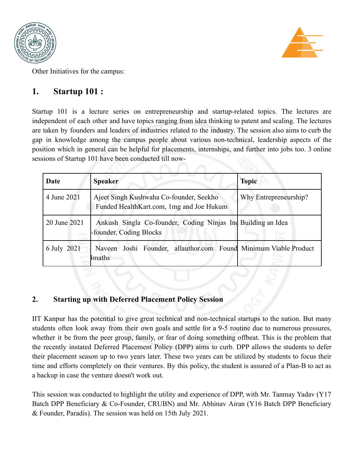



Other Initiatives for the campus:

# **1. Startup 101 :**

Startup 101 is a lecture series on entrepreneurship and startup-related topics. The lectures are independent of each other and have topics ranging from idea thinking to patent and scaling. The lectures are taken by founders and leaders of industries related to the industry. The session also aims to curb the gap in knowledge among the campus people about various non-technical, leadership aspects of the position which in general can be helpful for placements, internships, and further into jobs too. 3 online sessions of Startup 101 have been conducted till now-

| Date         | <b>Speaker</b>                                                                          | <b>Topic</b>          |
|--------------|-----------------------------------------------------------------------------------------|-----------------------|
| 4 June 2021  | Ajeet Singh Kushwaha Co-founder, Seekho<br>Funded HealthKart.com, 1mg and Joe Hukum     | Why Entrepreneurship? |
| 20 June 2021 | Ankush Singla Co-founder, Coding Ninjas Ind Building an Idea<br>-founder, Coding Blocks |                       |
| 6 July 2021  | Naveen Joshi Founder, allauthor.com Found Minimum Viable Product<br>4 <sub>maths</sub>  |                       |

# **2. Starting up with Deferred Placement Policy Session**

IIT Kanpur has the potential to give great technical and non-technical startups to the nation. But many students often look away from their own goals and settle for a 9-5 routine due to numerous pressures, whether it be from the peer group, family, or fear of doing something offbeat. This is the problem that the recently instated Deferred Placement Policy (DPP) aims to curb. DPP allows the students to defer their placement season up to two years later. These two years can be utilized by students to focus their time and efforts completely on their ventures. By this policy, the student is assured of a Plan-B to act as a backup in case the venture doesn't work out.

This session was conducted to highlight the utility and experience of DPP, with Mr. Tanmay Yadav (Y17 Batch DPP Beneficiary & Co-Founder, CRUBN) and Mr. Abhinav Airan (Y16 Batch DPP Beneficiary & Founder, Paradis). The session was held on 15th July 2021.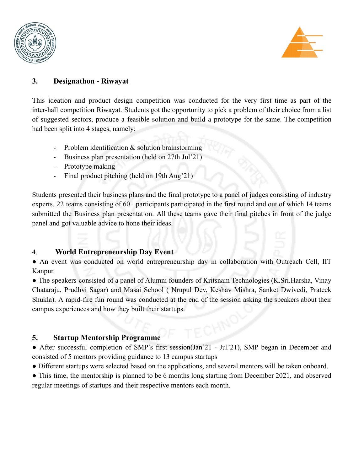



# **3. Designathon - Riwayat**

This ideation and product design competition was conducted for the very first time as part of the inter-hall competition Riwayat. Students got the opportunity to pick a problem of their choice from a list of suggested sectors, produce a feasible solution and build a prototype for the same. The competition had been split into 4 stages, namely:

- Problem identification  $\&$  solution brainstorming
- Business plan presentation (held on 27th Jul'21)
- Prototype making
- Final product pitching (held on 19th Aug'21)

Students presented their business plans and the final prototype to a panel of judges consisting of industry experts. 22 teams consisting of 60+ participants participated in the first round and out of which 14 teams submitted the Business plan presentation. All these teams gave their final pitches in front of the judge panel and got valuable advice to hone their ideas.

# 4. **World Entrepreneurship Day Event**

• An event was conducted on world entrepreneurship day in collaboration with Outreach Cell, IIT Kanpur.

• The speakers consisted of a panel of Alumni founders of Kritsnam Technologies (K.Sri.Harsha, Vinay Chataraju, Prudhvi Sagar) and Masai School ( Nrupul Dev, Keshav Mishra, Sanket Dwivedi, Prateek Shukla). A rapid-fire fun round was conducted at the end of the session asking the speakers about their campus experiences and how they built their startups.

# **5. Startup Mentorship Programme**

• After successful completion of SMP's first session(Jan'21 - Jul'21), SMP began in December and consisted of 5 mentors providing guidance to 13 campus startups

● Different startups were selected based on the applications, and several mentors will be taken onboard.

• This time, the mentorship is planned to be 6 months long starting from December 2021, and observed regular meetings of startups and their respective mentors each month.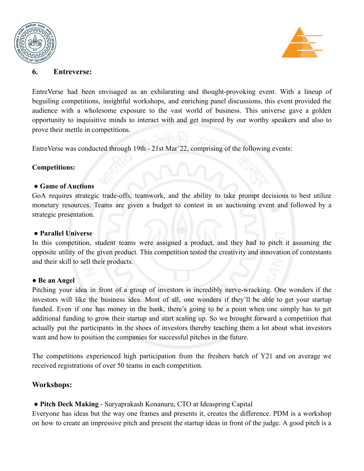



#### **6. Entreverse:**

EntreVerse had been envisaged as an exhilarating and thought-provoking event. With a lineup of beguiling competitions, insightful workshops, and enriching panel discussions, this event provided the audience with a wholesome exposure to the vast world of business. This universe gave a golden opportunity to inquisitive minds to interact with and get inspired by our worthy speakers and also to prove their mettle in competitions.

EntreVerse was conducted through 19th - 21st Mar'22, comprising of the following events:

#### **Competitions:**

#### ● **Game of Auctions**

GoA requires strategic trade-offs, teamwork, and the ability to take prompt decisions to best utilize monetary resources. Teams are given a budget to contest in an auctioning event and followed by a strategic presentation.

#### ● **Parallel Universe**

In this competition, student teams were assigned a product, and they had to pitch it assuming the opposite utility of the given product. This competition tested the creativity and innovation of contestants and their skill to sell their products.

#### ● **Be an Angel**

Pitching your idea in front of a group of investors is incredibly nerve-wracking. One wonders if the investors will like the business idea. Most of all, one wonders if they'll be able to get your startup funded. Even if one has money in the bank, there's going to be a point when one simply has to get additional funding to grow their startup and start scaling up. So we brought forward a competition that actually put the participants in the shoes of investors thereby teaching them a lot about what investors want and how to position the companies for successful pitches in the future.

The competitions experienced high participation from the freshers batch of Y21 and on average we received registrations of over 50 teams in each competition.

#### **Workshops:**

● **Pitch Deck Making** - Suryaprakash Konanuru, CTO at Ideaspring Capital

Everyone has ideas but the way one frames and presents it, creates the difference. PDM is a workshop on how to create an impressive pitch and present the startup ideas in front of the judge. A good pitch is a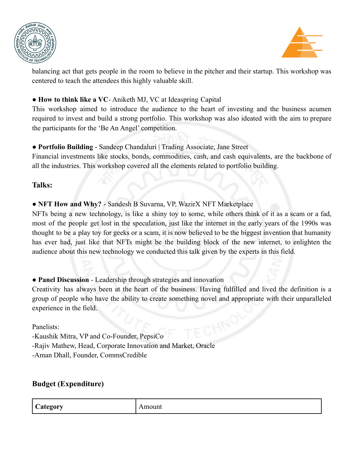



balancing act that gets people in the room to believe in the pitcher and their startup. This workshop was centered to teach the attendees this highly valuable skill.

#### ● **How to think like a VC**- Aniketh MJ, VC at Ideaspring Capital

This workshop aimed to introduce the audience to the heart of investing and the business acumen required to invest and build a strong portfolio. This workshop was also ideated with the aim to prepare the participants for the 'Be An Angel' competition.

## ● **Portfolio Building** - Sandeep Chandaluri | Trading Associate, Jane Street

Financial investments like stocks, bonds, commodities, cash, and cash equivalents, are the backbone of all the industries. This workshop covered all the elements related to portfolio building.

## **Talks:**

● **NFT How and Why?** - Sandesh B Suvarna, VP, WazirX NFT Marketplace

NFTs being a new technology, is like a shiny toy to some, while others think of it as a scam or a fad, most of the people get lost in the speculation, just like the internet in the early years of the 1990s was thought to be a play toy for geeks or a scam, it is now believed to be the biggest invention that humanity has ever had, just like that NFTs might be the building block of the new internet, to enlighten the audience about this new technology we conducted this talk given by the experts in this field.

# ● **Panel Discussion** - Leadership through strategies and innovation

Creativity has always been at the heart of the business. Having fulfilled and lived the definition is a group of people who have the ability to create something novel and appropriate with their unparalleled experience in the field.

Panelists:

-Kaushik Mitra, VP and Co-Founder, PepsiCo

-Rajiv Mathew, Head, Corporate Innovation and Market, Oracle

-Aman Dhall, Founder, CommsCredible

# **Budget (Expenditure)**

| $\sim$<br>COMONT<br>Amoum<br>$\sim$<br>20ry<br>$\sim$ $\cdots$ ,<br>$    -$<br>0 |  |
|----------------------------------------------------------------------------------|--|
|----------------------------------------------------------------------------------|--|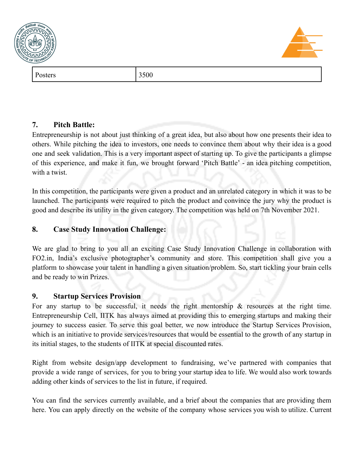



# **7. Pitch Battle:**

Entrepreneurship is not about just thinking of a great idea, but also about how one presents their idea to others. While pitching the idea to investors, one needs to convince them about why their idea is a good one and seek validation. This is a very important aspect of starting up. To give the participants a glimpse of this experience, and make it fun, we brought forward 'Pitch Battle' - an idea pitching competition, with a twist.

In this competition, the participants were given a product and an unrelated category in which it was to be launched. The participants were required to pitch the product and convince the jury why the product is good and describe its utility in the given category. The competition was held on 7th November 2021.

# **8. Case Study Innovation Challenge:**

We are glad to bring to you all an exciting Case Study Innovation Challenge in collaboration with FO2.in, India's exclusive photographer's community and store. This competition shall give you a platform to showcase your talent in handling a given situation/problem. So, start tickling your brain cells and be ready to win Prizes.

# **9. Startup Services Provision**

For any startup to be successful, it needs the right mentorship  $\&$  resources at the right time. Entrepreneurship Cell, IITK has always aimed at providing this to emerging startups and making their journey to success easier. To serve this goal better, we now introduce the Startup Services Provision, which is an initiative to provide services/resources that would be essential to the growth of any startup in its initial stages, to the students of IITK at special discounted rates.

Right from website design/app development to fundraising, we've partnered with companies that provide a wide range of services, for you to bring your startup idea to life. We would also work towards adding other kinds of services to the list in future, if required.

You can find the services currently available, and a brief about the companies that are providing them here. You can apply directly on the website of the company whose services you wish to utilize. Current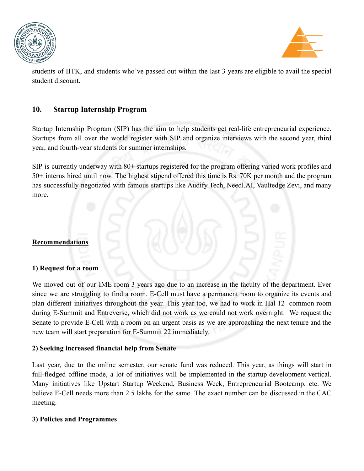



students of IITK, and students who've passed out within the last 3 years are eligible to avail the special student discount.

## **10. Startup Internship Program**

Startup Internship Program (SIP) has the aim to help students get real-life entrepreneurial experience. Startups from all over the world register with SIP and organize interviews with the second year, third year, and fourth-year students for summer internships.

SIP is currently underway with 80+ startups registered for the program offering varied work profiles and 50+ interns hired until now. The highest stipend offered this time is Rs. 70K per month and the program has successfully negotiated with famous startups like Audify Tech, Needl.AI, Vaultedge Zevi, and many more.

#### **Recommendations**

#### **1) Request for a room**

We moved out of our IME room 3 years ago due to an increase in the faculty of the department. Ever since we are struggling to find a room. E-Cell must have a permanent room to organize its events and plan different initiatives throughout the year. This year too, we had to work in Hal 12 common room during E-Summit and Entreverse, which did not work as we could not work overnight. We request the Senate to provide E-Cell with a room on an urgent basis as we are approaching the next tenure and the new team will start preparation for E-Summit 22 immediately.

#### **2) Seeking increased financial help from Senate**

Last year, due to the online semester, our senate fund was reduced. This year, as things will start in full-fledged offline mode, a lot of initiatives will be implemented in the startup development vertical. Many initiatives like Upstart Startup Weekend, Business Week, Entrepreneurial Bootcamp, etc. We believe E-Cell needs more than 2.5 lakhs for the same. The exact number can be discussed in the CAC meeting.

#### **3) Policies and Programmes**